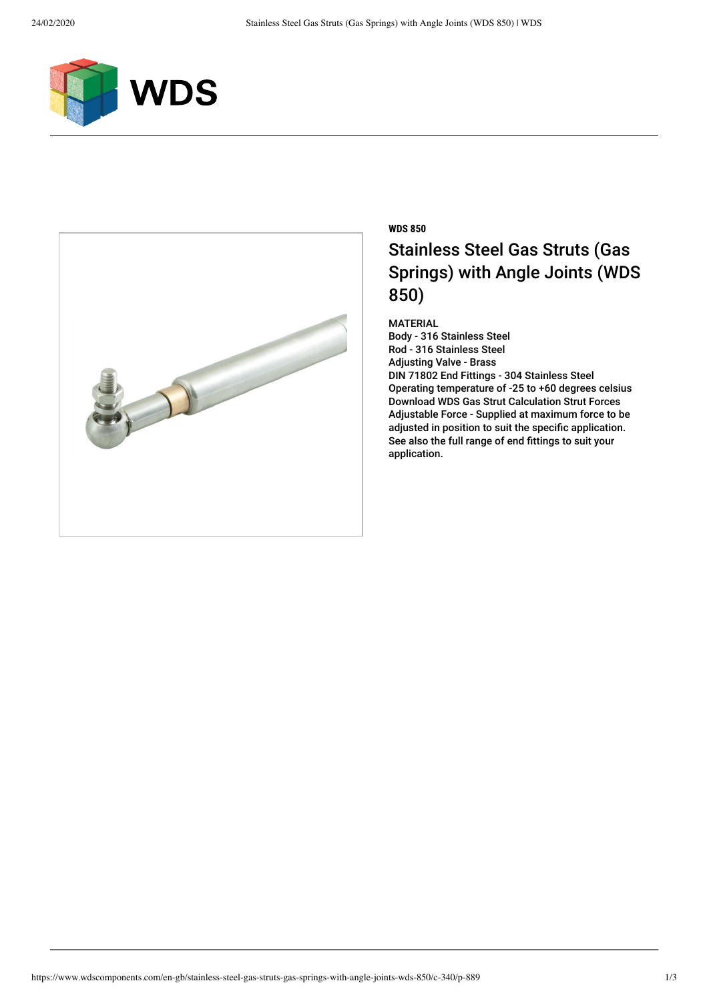



## **WDS 850** Stainless Steel Gas Struts (Gas Springs) with Angle Joints (WDS 850)

MATERIAL

Body - 316 Stainless Steel Rod - 316 Stainless Steel Adjusting Valve - Brass DIN 71802 End Fittings - 304 Stainless Steel Operating temperature of -25 to +60 degrees celsius [Download WDS Gas Strut Calculation Strut Forces](https://www.wdscomponents.com/handlers/download.ashx?filename=4ajtvf) Adjustable Force - Supplied at maximum force to be adjusted in position to suit the specific application. See also the full range of end fittings to suit your application.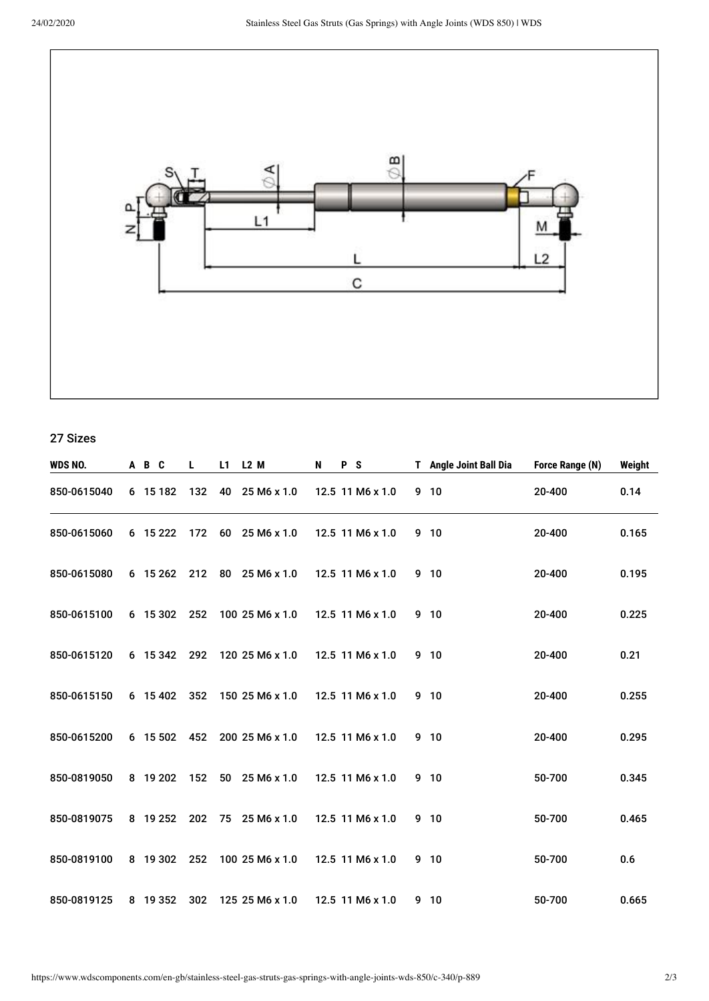

27 Sizes

| WDS NO.     | A B C      | L   | L1 | L <sub>2</sub> M          | N | P S |                  | T Angle Joint Ball Dia | Force Range (N) | Weight |
|-------------|------------|-----|----|---------------------------|---|-----|------------------|------------------------|-----------------|--------|
| 850-0615040 | 6 15 182   | 132 | 40 | 25 M6 x 1.0               |   |     | 12.5 11 M6 x 1.0 | 9 <sub>10</sub>        | 20-400          | 0.14   |
| 850-0615060 | 6 15 2 22  | 172 |    | $60\quad25 M6 \times 1.0$ |   |     | 12.5 11 M6 x 1.0 | 9 10                   | 20-400          | 0.165  |
| 850-0615080 | 6 15 262   | 212 | 80 | 25 M6 x 1.0               |   |     | 12.5 11 M6 x 1.0 | 9 <sub>10</sub>        | 20-400          | 0.195  |
| 850-0615100 | 6 15 302   | 252 |    | 100 25 M6 x 1.0           |   |     | 12.5 11 M6 x 1.0 | 9 <sub>10</sub>        | 20-400          | 0.225  |
| 850-0615120 | 6 15 342   | 292 |    | 120 25 M6 x 1.0           |   |     | 12.5 11 M6 x 1.0 | 9 10                   | 20-400          | 0.21   |
| 850-0615150 | 6 15 402   | 352 |    | 150 25 M6 x 1.0           |   |     | 12.5 11 M6 x 1.0 | 9 <sub>10</sub>        | 20-400          | 0.255  |
| 850-0615200 | 6 15 502   | 452 |    | 200 25 M6 x 1.0           |   |     | 12.5 11 M6 x 1.0 | 9 <sub>10</sub>        | 20-400          | 0.295  |
| 850-0819050 | 8 19 20 2  | 152 |    | 50 25 M6 x 1.0            |   |     | 12.5 11 M6 x 1.0 | 9 <sub>10</sub>        | 50-700          | 0.345  |
| 850-0819075 | 8 19 25 2  | 202 |    | 75 25 M6 x 1.0            |   |     | 12.5 11 M6 x 1.0 | 9 10                   | 50-700          | 0.465  |
| 850-0819100 | 8 19 302   | 252 |    | 100 25 M6 x 1.0           |   |     | 12.5 11 M6 x 1.0 | 9 <sub>10</sub>        | 50-700          | 0.6    |
| 850-0819125 | 8 19 3 5 2 | 302 |    | 125 25 M6 x 1.0           |   |     | 12.5 11 M6 x 1.0 | 9 <sub>10</sub>        | 50-700          | 0.665  |